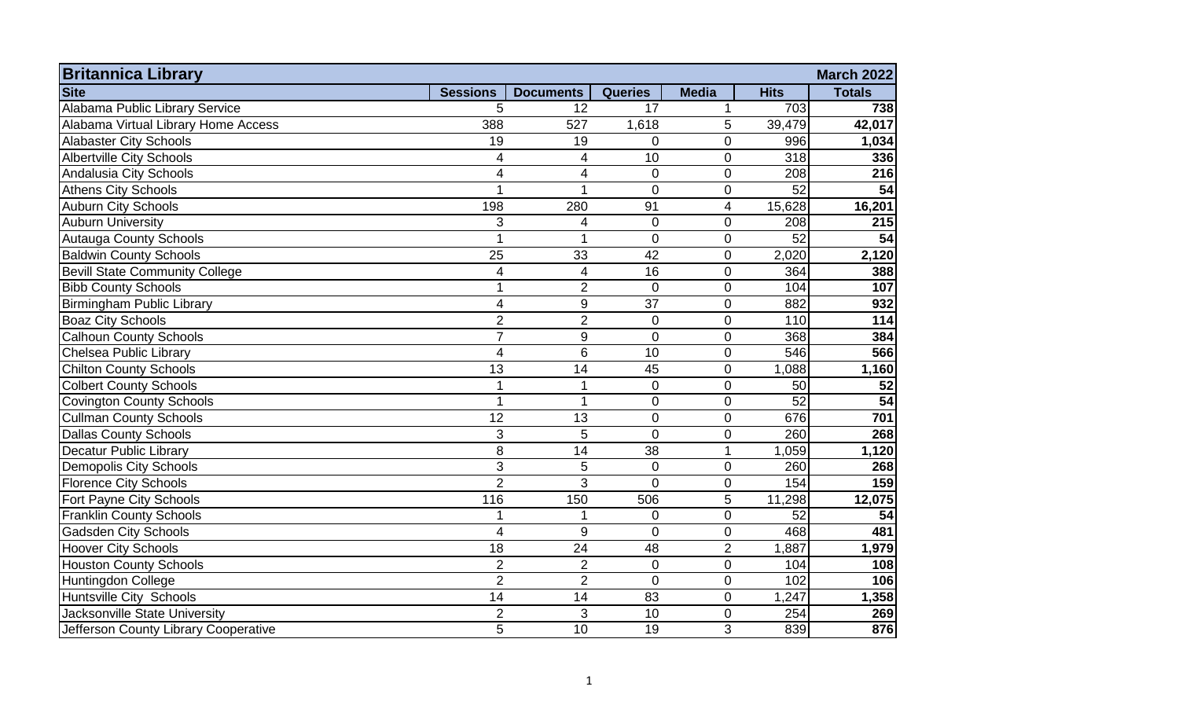| <b>Britannica Library</b><br><b>March 2022</b> |                 |                  |                 |                |             |               |  |
|------------------------------------------------|-----------------|------------------|-----------------|----------------|-------------|---------------|--|
| <b>Site</b>                                    | <b>Sessions</b> | <b>Documents</b> | <b>Queries</b>  | <b>Media</b>   | <b>Hits</b> | <b>Totals</b> |  |
| Alabama Public Library Service                 | 5               | 12               | 17              | 1              | 703         | 738           |  |
| Alabama Virtual Library Home Access            | 388             | 527              | 1,618           | 5              | 39,479      | 42,017        |  |
| <b>Alabaster City Schools</b>                  | 19              | 19               | $\mathbf 0$     | 0              | 996         | 1,034         |  |
| <b>Albertville City Schools</b>                | 4               | $\overline{4}$   | 10              | $\overline{0}$ | 318         | 336           |  |
| Andalusia City Schools                         | 4               | 4                | $\mathbf{0}$    | $\mathbf 0$    | 208         | 216           |  |
| <b>Athens City Schools</b>                     | 1               | 1                | $\Omega$        | $\overline{0}$ | 52          | 54            |  |
| <b>Auburn City Schools</b>                     | 198             | 280              | 91              | 4              | 15,628      | 16,201        |  |
| <b>Auburn University</b>                       | 3               | $\overline{4}$   | $\overline{0}$  | $\overline{0}$ | 208         | 215           |  |
| <b>Autauga County Schools</b>                  | $\overline{1}$  | 1                | $\overline{0}$  | $\overline{0}$ | 52          | 54            |  |
| <b>Baldwin County Schools</b>                  | 25              | 33               | 42              | 0              | 2,020       | 2,120         |  |
| <b>Bevill State Community College</b>          | 4               | $\overline{4}$   | 16              | $\overline{0}$ | 364         | 388           |  |
| <b>Bibb County Schools</b>                     | 1               | $\overline{2}$   | $\overline{0}$  | $\mathbf 0$    | 104         | 107           |  |
| <b>Birmingham Public Library</b>               | 4               | 9                | $\overline{37}$ | $\overline{0}$ | 882         | 932           |  |
| <b>Boaz City Schools</b>                       | $\overline{2}$  | $\overline{2}$   | $\mathbf 0$     | $\mathbf 0$    | 110         | 114           |  |
| <b>Calhoun County Schools</b>                  | $\overline{7}$  | 9                | $\mathbf 0$     | $\mathbf 0$    | 368         | 384           |  |
| Chelsea Public Library                         | 4               | $6\phantom{1}6$  | 10              | $\mathbf 0$    | 546         | 566           |  |
| <b>Chilton County Schools</b>                  | 13              | 14               | 45              | $\mathbf 0$    | 1,088       | 1,160         |  |
| <b>Colbert County Schools</b>                  | 1               | 1                | $\mathbf{0}$    | $\mathbf 0$    | 50          | 52            |  |
| <b>Covington County Schools</b>                | 1               | 1                | $\overline{0}$  | $\mathbf{0}$   | 52          | 54            |  |
| <b>Cullman County Schools</b>                  | $\overline{12}$ | 13               | $\mathbf{0}$    | $\overline{0}$ | 676         | 701           |  |
| <b>Dallas County Schools</b>                   | 3               | 5                | $\overline{0}$  | 0              | 260         | 268           |  |
| Decatur Public Library                         | 8               | 14               | 38              | 1              | 1,059       | 1,120         |  |
| <b>Demopolis City Schools</b>                  | 3               | 5                | $\overline{0}$  | $\overline{0}$ | 260         | 268           |  |
| <b>Florence City Schools</b>                   | $\overline{2}$  | 3                | $\Omega$        | $\mathbf 0$    | 154         | 159           |  |
| Fort Payne City Schools                        | 116             | 150              | 506             | 5              | 11,298      | 12,075        |  |
| <b>Franklin County Schools</b>                 |                 |                  | $\overline{0}$  | $\mathbf 0$    | 52          | 54            |  |
| <b>Gadsden City Schools</b>                    | $\overline{4}$  | 9                | $\overline{0}$  | $\mathbf 0$    | 468         | 481           |  |
| <b>Hoover City Schools</b>                     | 18              | 24               | 48              | $\overline{2}$ | 1,887       | 1,979         |  |
| <b>Houston County Schools</b>                  | $\overline{2}$  | $\overline{2}$   | $\mathbf 0$     | $\mathbf 0$    | 104         | 108           |  |
| Huntingdon College                             | $\overline{2}$  | $\overline{2}$   | $\overline{0}$  | $\mathbf 0$    | 102         | 106           |  |
| Huntsville City Schools                        | 14              | 14               | 83              | $\overline{0}$ | 1,247       | 1,358         |  |
| Jacksonville State University                  | $\overline{2}$  | 3                | 10              | 0              | 254         | 269           |  |
| Jefferson County Library Cooperative           | $\overline{5}$  | 10               | 19              | 3              | 839         | 876           |  |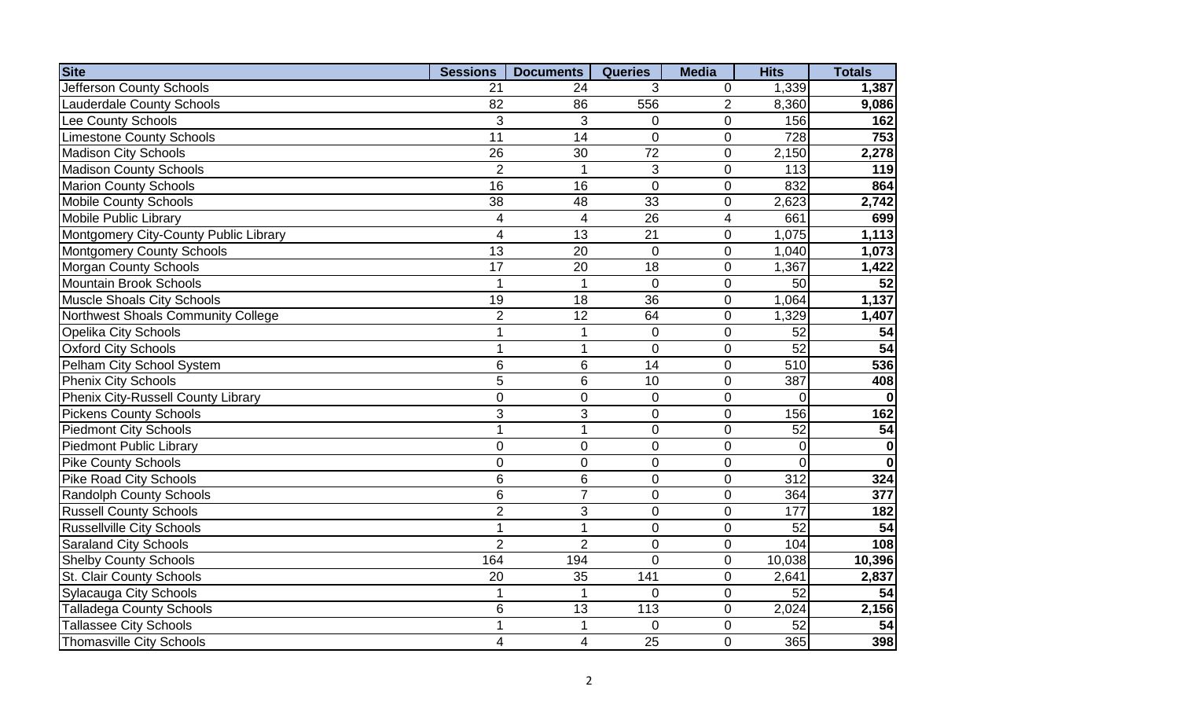| <b>Site</b>                           | <b>Sessions</b> | <b>Documents</b>        | <b>Queries</b> | <b>Media</b>   | <b>Hits</b>      | <b>Totals</b> |
|---------------------------------------|-----------------|-------------------------|----------------|----------------|------------------|---------------|
| <b>Jefferson County Schools</b>       | 21              | 24                      | 3              | 0              | 1,339            | 1,387         |
| <b>Lauderdale County Schools</b>      | 82              | 86                      | 556            | $\overline{2}$ | 8,360            | 9,086         |
| Lee County Schools                    | 3               | 3                       | $\Omega$       | $\mathbf 0$    | 156              | 162           |
| <b>Limestone County Schools</b>       | 11              | 14                      | 0              | $\overline{0}$ | 728              | 753           |
| <b>Madison City Schools</b>           | 26              | 30                      | 72             | $\overline{0}$ | 2,150            | 2,278         |
| <b>Madison County Schools</b>         | $\overline{2}$  |                         | 3              | $\overline{0}$ | 113              | 119           |
| <b>Marion County Schools</b>          | 16              | 16                      | $\overline{0}$ | $\overline{0}$ | 832              | 864           |
| <b>Mobile County Schools</b>          | 38              | 48                      | 33             | $\mathbf 0$    | 2,623            | 2,742         |
| <b>Mobile Public Library</b>          | 4               | $\overline{4}$          | 26             | $\overline{4}$ | 661              | 699           |
| Montgomery City-County Public Library | $\overline{4}$  | 13                      | 21             | $\overline{0}$ | 1,075            | 1,113         |
| <b>Montgomery County Schools</b>      | 13              | 20                      | $\overline{0}$ | $\mathbf 0$    | 1,040            | 1,073         |
| <b>Morgan County Schools</b>          | 17              | 20                      | 18             | $\overline{0}$ | 1,367            | 1,422         |
| <b>Mountain Brook Schools</b>         |                 | -1                      | $\mathbf 0$    | $\overline{0}$ | 50               | 52            |
| <b>Muscle Shoals City Schools</b>     | 19              | 18                      | 36             | $\mathbf 0$    | 1,064            | 1,137         |
| Northwest Shoals Community College    | $\overline{2}$  | 12                      | 64             | $\mathbf 0$    | 1,329            | 1,407         |
| <b>Opelika City Schools</b>           | 1               | $\mathbf 1$             | 0              | $\overline{0}$ | 52               | 54            |
| <b>Oxford City Schools</b>            | 1               | $\overline{1}$          | 0              | $\overline{0}$ | 52               | 54            |
| Pelham City School System             | 6               | $6\phantom{1}$          | 14             | $\overline{0}$ | 510              | 536           |
| <b>Phenix City Schools</b>            | 5               | $6\phantom{1}$          | 10             | $\overline{0}$ | 387              | 408           |
| Phenix City-Russell County Library    | $\mathbf 0$     | $\mathbf 0$             | 0              | $\overline{0}$ | $\Omega$         |               |
| <b>Pickens County Schools</b>         | 3               | 3                       | 0              | $\overline{0}$ | 156              | 162           |
| <b>Piedmont City Schools</b>          | $\overline{1}$  | 1                       | $\overline{0}$ | $\overline{0}$ | 52               | 54            |
| <b>Piedmont Public Library</b>        | $\overline{0}$  | $\overline{0}$          | $\overline{0}$ | $\overline{0}$ | 0                | $\mathbf 0$   |
| Pike County Schools                   | $\overline{0}$  | $\overline{0}$          | $\overline{0}$ | $\overline{0}$ | $\overline{0}$   | $\mathbf{0}$  |
| <b>Pike Road City Schools</b>         | $6\phantom{1}$  | $6\phantom{1}$          | $\overline{0}$ | $\overline{0}$ | $\overline{312}$ | 324           |
| <b>Randolph County Schools</b>        | $6\phantom{1}$  | $\overline{7}$          | $\overline{0}$ | $\overline{0}$ | 364              | 377           |
| <b>Russell County Schools</b>         | $\overline{2}$  | 3                       | $\overline{0}$ | $\overline{0}$ | 177              | 182           |
| <b>Russellville City Schools</b>      | 1               | $\overline{1}$          | $\overline{0}$ | $\overline{0}$ | 52               | 54            |
| <b>Saraland City Schools</b>          | $\overline{2}$  | $\overline{2}$          | 0              | $\overline{0}$ | 104              | 108           |
| <b>Shelby County Schools</b>          | 164             | 194                     | $\overline{0}$ | $\mathbf 0$    | 10,038           | 10,396        |
| St. Clair County Schools              | 20              | 35                      | 141            | $\mathbf 0$    | 2,641            | 2,837         |
| <b>Sylacauga City Schools</b>         | 1               | $\overline{1}$          | $\overline{0}$ | $\overline{0}$ | 52               | 54            |
| <b>Talladega County Schools</b>       | $6\phantom{1}$  | 13                      | 113            | $\overline{0}$ | 2,024            | 2,156         |
| <b>Tallassee City Schools</b>         | 1               |                         | 0              | $\overline{0}$ | 52               | 54            |
| <b>Thomasville City Schools</b>       | 4               | $\overline{\mathbf{4}}$ | 25             | $\overline{0}$ | 365              | 398           |